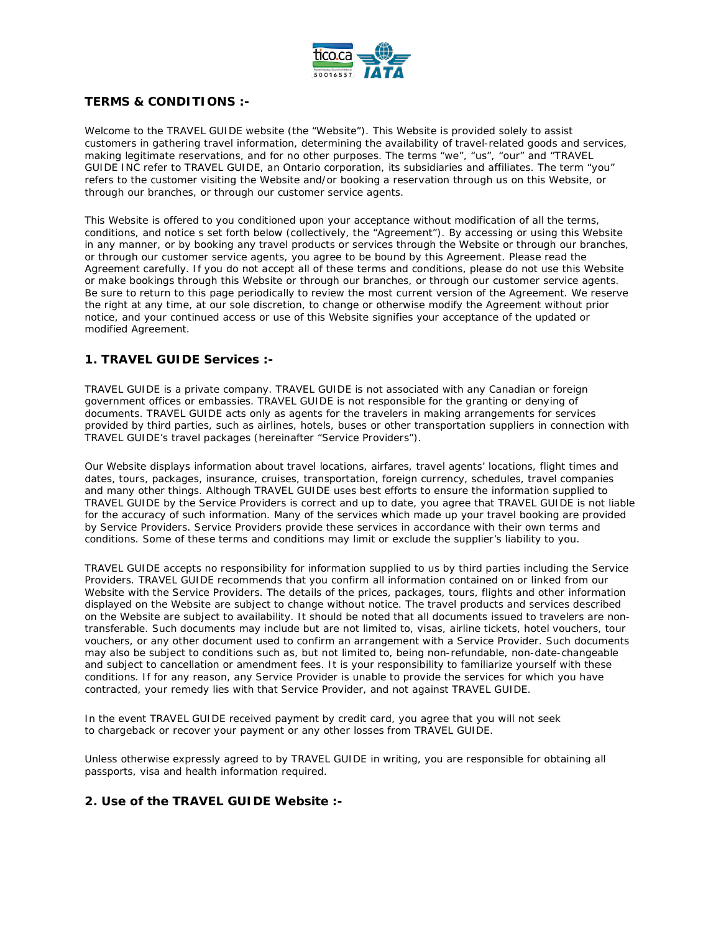

# **TERMS & CONDITIONS :-**

Welcome to the TRAVEL GUIDE website (the "Website"). This Website is provided solely to assist customers in gathering travel information, determining the availability of travel-related goods and services, making legitimate reservations, and for no other purposes. The terms "we", "us", "our" and "TRAVEL GUIDE INC refer to TRAVEL GUIDE, an Ontario corporation, its subsidiaries and affiliates. The term "you" refers to the customer visiting the Website and/or booking a reservation through us on this Website, or through our branches, or through our customer service agents.

This Website is offered to you conditioned upon your acceptance without modification of all the terms, conditions, and notice s set forth below (collectively, the "Agreement"). By accessing or using this Website in any manner, or by booking any travel products or services through the Website or through our branches, or through our customer service agents, you agree to be bound by this Agreement. Please read the Agreement carefully. If you do not accept all of these terms and conditions, please do not use this Website or make bookings through this Website or through our branches, or through our customer service agents. Be sure to return to this page periodically to review the most current version of the Agreement. We reserve the right at any time, at our sole discretion, to change or otherwise modify the Agreement without prior notice, and your continued access or use of this Website signifies your acceptance of the updated or modified Agreement.

# **1. TRAVEL GUIDE Services :-**

TRAVEL GUIDE is a private company. TRAVEL GUIDE is not associated with any Canadian or foreign government offices or embassies. TRAVEL GUIDE is not responsible for the granting or denying of documents. TRAVEL GUIDE acts only as agents for the travelers in making arrangements for services provided by third parties, such as airlines, hotels, buses or other transportation suppliers in connection with TRAVEL GUIDE's travel packages (hereinafter "Service Providers").

Our Website displays information about travel locations, airfares, travel agents' locations, flight times and dates, tours, packages, insurance, cruises, transportation, foreign currency, schedules, travel companies and many other things. Although TRAVEL GUIDE uses best efforts to ensure the information supplied to TRAVEL GUIDE by the Service Providers is correct and up to date, you agree that TRAVEL GUIDE is not liable for the accuracy of such information. Many of the services which made up your travel booking are provided by Service Providers. Service Providers provide these services in accordance with their own terms and conditions. Some of these terms and conditions may limit or exclude the supplier's liability to you.

TRAVEL GUIDE accepts no responsibility for information supplied to us by third parties including the Service Providers. TRAVEL GUIDE recommends that you confirm all information contained on or linked from our Website with the Service Providers. The details of the prices, packages, tours, flights and other information displayed on the Website are subject to change without notice. The travel products and services described on the Website are subject to availability. It should be noted that all documents issued to travelers are nontransferable. Such documents may include but are not limited to, visas, airline tickets, hotel vouchers, tour vouchers, or any other document used to confirm an arrangement with a Service Provider. Such documents may also be subject to conditions such as, but not limited to, being non-refundable, non-date-changeable and subject to cancellation or amendment fees. It is your responsibility to familiarize yourself with these conditions. If for any reason, any Service Provider is unable to provide the services for which you have contracted, your remedy lies with that Service Provider, and not against TRAVEL GUIDE.

In the event TRAVEL GUIDE received payment by credit card, you agree that you will not seek to chargeback or recover your payment or any other losses from TRAVEL GUIDE.

Unless otherwise expressly agreed to by TRAVEL GUIDE in writing, you are responsible for obtaining all passports, visa and health information required.

# **2. Use of the TRAVEL GUIDE Website :-**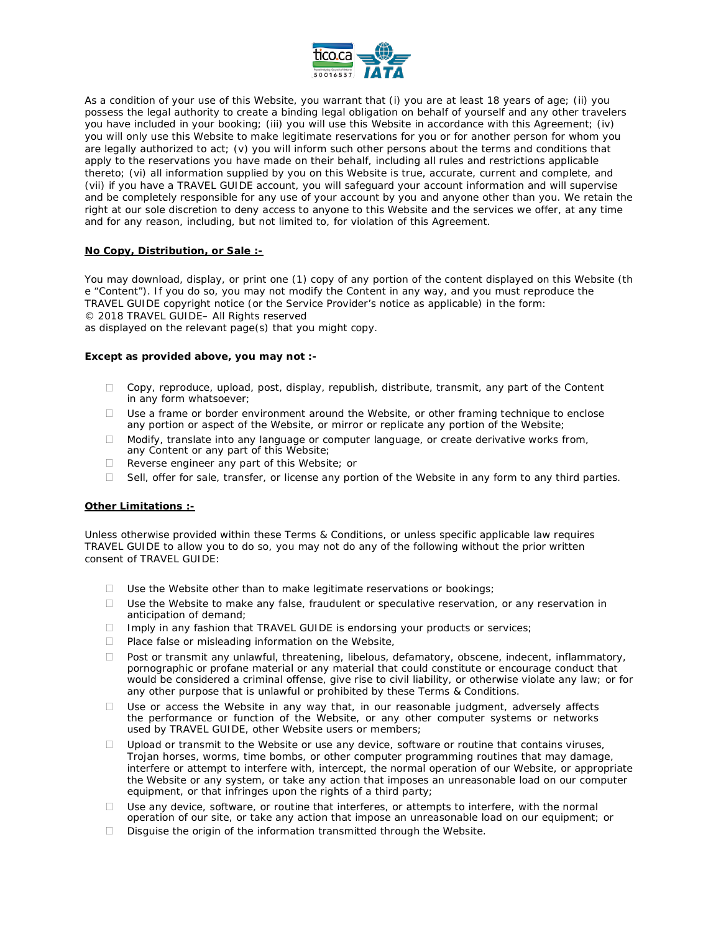

As a condition of your use of this Website, you warrant that (i) you are at least 18 years of age; (ii) you possess the legal authority to create a binding legal obligation on behalf of yourself and any other travelers you have included in your booking; (iii) you will use this Website in accordance with this Agreement; (iv) you will only use this Website to make legitimate reservations for you or for another person for whom you are legally authorized to act; (v) you will inform such other persons about the terms and conditions that apply to the reservations you have made on their behalf, including all rules and restrictions applicable thereto; (vi) all information supplied by you on this Website is true, accurate, current and complete, and (vii) if you have a TRAVEL GUIDE account, you will safeguard your account information and will supervise and be completely responsible for any use of your account by you and anyone other than you. We retain the right at our sole discretion to deny access to anyone to this Website and the services we offer, at any time and for any reason, including, but not limited to, for violation of this Agreement.

#### **No Copy, Distribution, or Sale :-**

You may download, display, or print one (1) copy of any portion of the content displayed on this Website (th e "Content"). If you do so, you may not modify the Content in any way, and you must reproduce the TRAVEL GUIDE copyright notice (or the Service Provider's notice as applicable) in the form: © 2018 TRAVEL GUIDE– All Rights reserved

as displayed on the relevant page(s) that you might copy.

#### **Except as provided above, you may not :-**

- $\Box$  Copy, reproduce, upload, post, display, republish, distribute, transmit, any part of the Content in any form whatsoever;
- $\Box$  Use a frame or border environment around the Website, or other framing technique to enclose any portion or aspect of the Website, or mirror or replicate any portion of the Website;
- $\Box$  Modify, translate into any language or computer language, or create derivative works from, any Content or any part of this Website;
- $\Box$  Reverse engineer any part of this Website; or
- $\Box$  Sell, offer for sale, transfer, or license any portion of the Website in any form to any third parties.

#### **Other Limitations :-**

Unless otherwise provided within these Terms & Conditions, or unless specific applicable law requires TRAVEL GUIDE to allow you to do so, you may not do any of the following without the prior written consent of TRAVEL GUIDE:

- $\Box$  Use the Website other than to make legitimate reservations or bookings;
- $\Box$  Use the Website to make any false, fraudulent or speculative reservation, or any reservation in anticipation of demand;
- $\Box$  Imply in any fashion that TRAVEL GUIDE is endorsing your products or services;
- $\Box$  Place false or misleading information on the Website,
- $\Box$  Post or transmit any unlawful, threatening, libelous, defamatory, obscene, indecent, inflammatory, pornographic or profane material or any material that could constitute or encourage conduct that would be considered a criminal offense, give rise to civil liability, or otherwise violate any law; or for any other purpose that is unlawful or prohibited by these Terms & Conditions.
- $\Box$  Use or access the Website in any way that, in our reasonable judgment, adversely affects the performance or function of the Website, or any other computer systems or networks used by TRAVEL GUIDE, other Website users or members;
- $\Box$  Upload or transmit to the Website or use any device, software or routine that contains viruses, Trojan horses, worms, time bombs, or other computer programming routines that may damage, interfere or attempt to interfere with, intercept, the normal operation of our Website, or appropriate the Website or any system, or take any action that imposes an unreasonable load on our computer equipment, or that infringes upon the rights of a third party;
- $\Box$  Use any device, software, or routine that interferes, or attempts to interfere, with the normal operation of our site, or take any action that impose an unreasonable load on our equipment; or
- $\Box$  Disguise the origin of the information transmitted through the Website.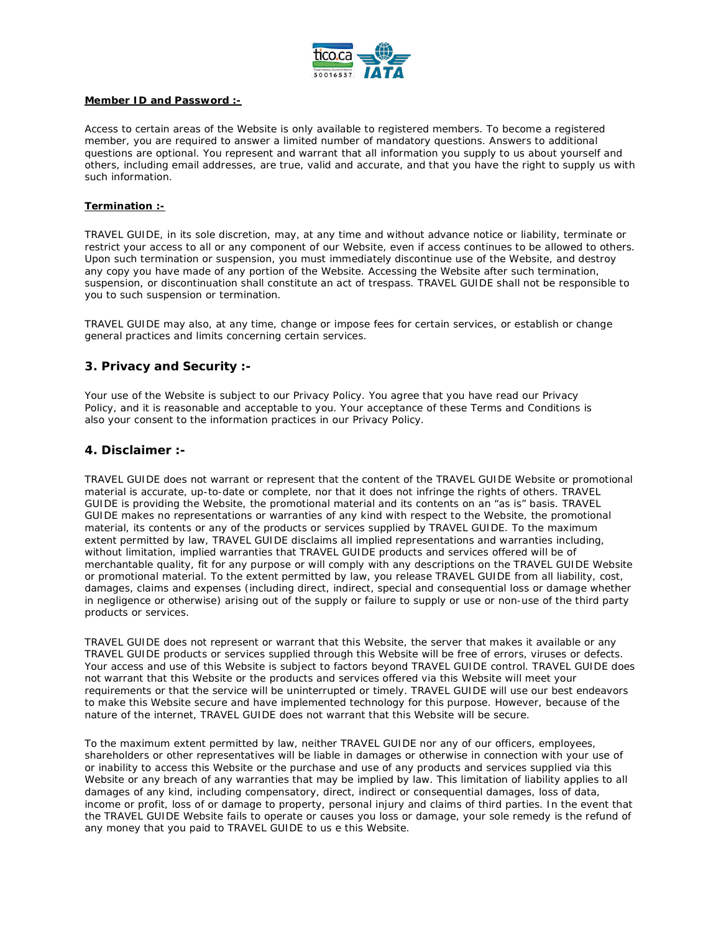

#### **Member ID and Password :-**

Access to certain areas of the Website is only available to registered members. To become a registered member, you are required to answer a limited number of mandatory questions. Answers to additional questions are optional. You represent and warrant that all information you supply to us about yourself and others, including email addresses, are true, valid and accurate, and that you have the right to supply us with such information.

#### **Termination :-**

TRAVEL GUIDE, in its sole discretion, may, at any time and without advance notice or liability, terminate or restrict your access to all or any component of our Website, even if access continues to be allowed to others. Upon such termination or suspension, you must immediately discontinue use of the Website, and destroy any copy you have made of any portion of the Website. Accessing the Website after such termination, suspension, or discontinuation shall constitute an act of trespass. TRAVEL GUIDE shall not be responsible to you to such suspension or termination.

TRAVEL GUIDE may also, at any time, change or impose fees for certain services, or establish or change general practices and limits concerning certain services.

# **3. Privacy and Security :-**

Your use of the Website is subject to our Privacy Policy. You agree that you have read our Privacy Policy, and it is reasonable and acceptable to you. Your acceptance of these Terms and Conditions is also your consent to the information practices in our Privacy Policy.

# **4. Disclaimer :-**

TRAVEL GUIDE does not warrant or represent that the content of the TRAVEL GUIDE Website or promotional material is accurate, up-to-date or complete, nor that it does not infringe the rights of others. TRAVEL GUIDE is providing the Website, the promotional material and its contents on an "as is" basis. TRAVEL GUIDE makes no representations or warranties of any kind with respect to the Website, the promotional material, its contents or any of the products or services supplied by TRAVEL GUIDE. To the maximum extent permitted by law, TRAVEL GUIDE disclaims all implied representations and warranties including, without limitation, implied warranties that TRAVEL GUIDE products and services offered will be of merchantable quality, fit for any purpose or will comply with any descriptions on the TRAVEL GUIDE Website or promotional material. To the extent permitted by law, you release TRAVEL GUIDE from all liability, cost, damages, claims and expenses (including direct, indirect, special and consequential loss or damage whether in negligence or otherwise) arising out of the supply or failure to supply or use or non-use of the third party products or services.

TRAVEL GUIDE does not represent or warrant that this Website, the server that makes it available or any TRAVEL GUIDE products or services supplied through this Website will be free of errors, viruses or defects. Your access and use of this Website is subject to factors beyond TRAVEL GUIDE control. TRAVEL GUIDE does not warrant that this Website or the products and services offered via this Website will meet your requirements or that the service will be uninterrupted or timely. TRAVEL GUIDE will use our best endeavors to make this Website secure and have implemented technology for this purpose. However, because of the nature of the internet, TRAVEL GUIDE does not warrant that this Website will be secure.

To the maximum extent permitted by law, neither TRAVEL GUIDE nor any of our officers, employees, shareholders or other representatives will be liable in damages or otherwise in connection with your use of or inability to access this Website or the purchase and use of any products and services supplied via this Website or any breach of any warranties that may be implied by law. This limitation of liability applies to all damages of any kind, including compensatory, direct, indirect or consequential damages, loss of data, income or profit, loss of or damage to property, personal injury and claims of third parties. In the event that the TRAVEL GUIDE Website fails to operate or causes you loss or damage, your sole remedy is the refund of any money that you paid to TRAVEL GUIDE to us e this Website.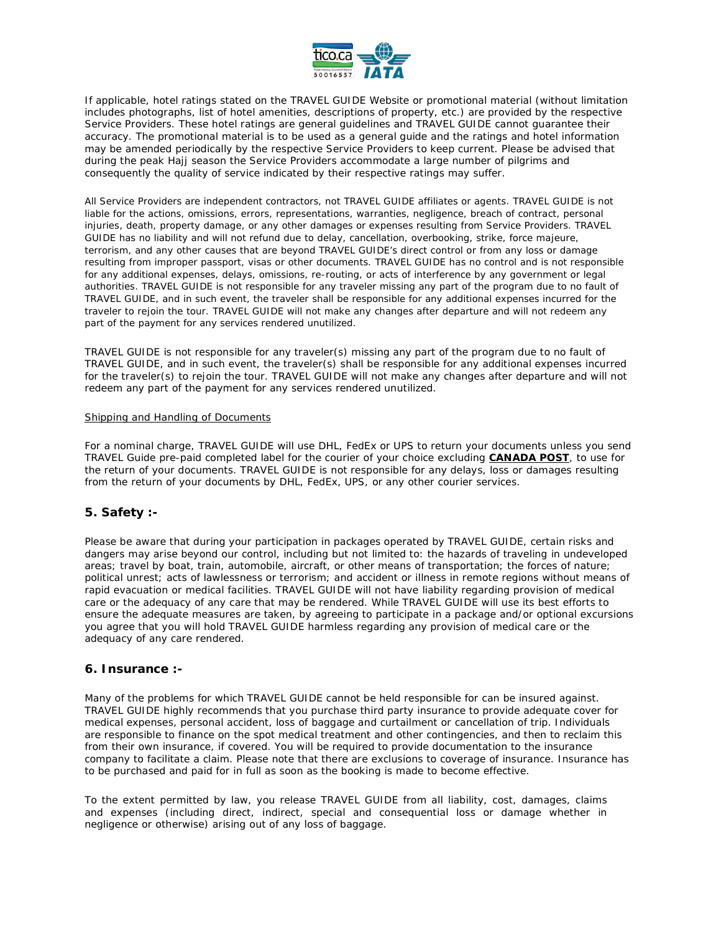

If applicable, hotel ratings stated on the TRAVEL GUIDE Website or promotional material (without limitation includes photographs, list of hotel amenities, descriptions of property, etc.) are provided by the respective Service Providers. These hotel ratings are general guidelines and TRAVEL GUIDE cannot guarantee their accuracy. The promotional material is to be used as a general guide and the ratings and hotel information may be amended periodically by the respective Service Providers to keep current. Please be advised that during the peak Hajj season the Service Providers accommodate a large number of pilgrims and consequently the quality of service indicated by their respective ratings may suffer.

All Service Providers are independent contractors, not TRAVEL GUIDE affiliates or agents. TRAVEL GUIDE is not liable for the actions, omissions, errors, representations, warranties, negligence, breach of contract, personal injuries, death, property damage, or any other damages or expenses resulting from Service Providers. TRAVEL GUIDE has no liability and will not refund due to delay, cancellation, overbooking, strike, force majeure, terrorism, and any other causes that are beyond TRAVEL GUIDE's direct control or from any loss or damage resulting from improper passport, visas or other documents. TRAVEL GUIDE has no control and is not responsible for any additional expenses, delays, omissions, re-routing, or acts of interference by any government or legal authorities. TRAVEL GUIDE is not responsible for any traveler missing any part of the program due to no fault of TRAVEL GUIDE, and in such event, the traveler shall be responsible for any additional expenses incurred for the traveler to rejoin the tour. TRAVEL GUIDE will not make any changes after departure and will not redeem any part of the payment for any services rendered unutilized.

TRAVEL GUIDE is not responsible for any traveler(s) missing any part of the program due to no fault of TRAVEL GUIDE, and in such event, the traveler(s) shall be responsible for any additional expenses incurred for the traveler(s) to rejoin the tour. TRAVEL GUIDE will not make any changes after departure and will not redeem any part of the payment for any services rendered unutilized.

#### Shipping and Handling of Documents

For a nominal charge, TRAVEL GUIDE will use DHL, FedEx or UPS to return your documents unless you send TRAVEL Guide pre-paid completed label for the courier of your choice excluding **CANADA POST**, to use for the return of your documents. TRAVEL GUIDE is not responsible for any delays, loss or damages resulting from the return of your documents by DHL, FedEx, UPS, or any other courier services.

### **5. Safety :-**

Please be aware that during your participation in packages operated by TRAVEL GUIDE, certain risks and dangers may arise beyond our control, including but not limited to: the hazards of traveling in undeveloped areas; travel by boat, train, automobile, aircraft, or other means of transportation; the forces of nature; political unrest; acts of lawlessness or terrorism; and accident or illness in remote regions without means of rapid evacuation or medical facilities. TRAVEL GUIDE will not have liability regarding provision of medical care or the adequacy of any care that may be rendered. While TRAVEL GUIDE will use its best efforts to ensure the adequate measures are taken, by agreeing to participate in a package and/or optional excursions you agree that you will hold TRAVEL GUIDE harmless regarding any provision of medical care or the adequacy of any care rendered.

### **6. Insurance :-**

Many of the problems for which TRAVEL GUIDE cannot be held responsible for can be insured against. TRAVEL GUIDE highly recommends that you purchase third party insurance to provide adequate cover for medical expenses, personal accident, loss of baggage and curtailment or cancellation of trip. Individuals are responsible to finance on the spot medical treatment and other contingencies, and then to reclaim this from their own insurance, if covered. You will be required to provide documentation to the insurance company to facilitate a claim. Please note that there are exclusions to coverage of insurance. Insurance has to be purchased and paid for in full as soon as the booking is made to become effective.

To the extent permitted by law, you release TRAVEL GUIDE from all liability, cost, damages, claims and expenses (including direct, indirect, special and consequential loss or damage whether in negligence or otherwise) arising out of any loss of baggage.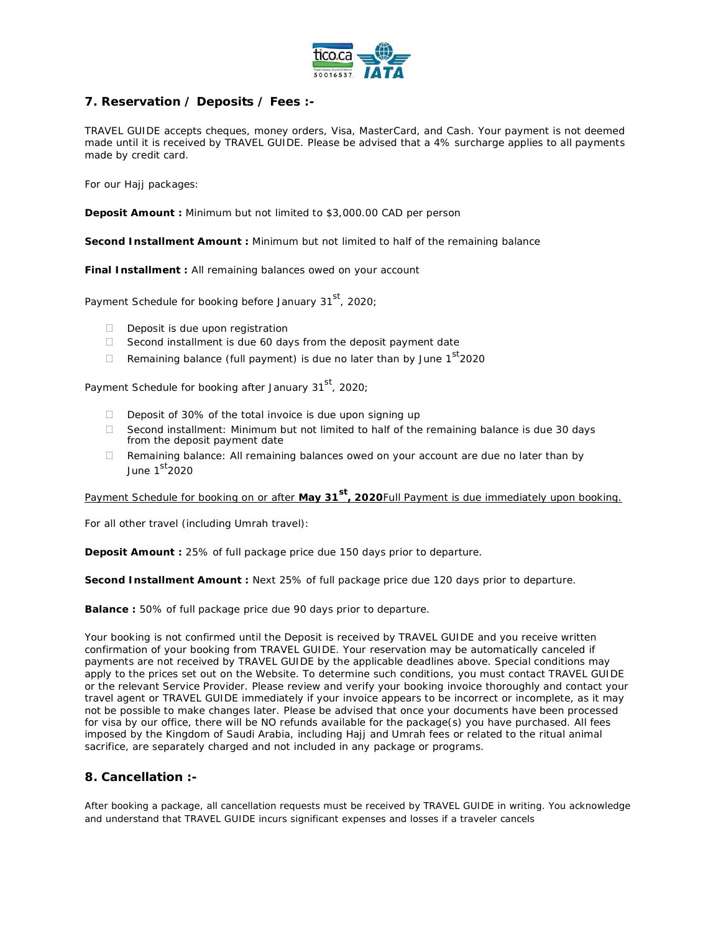

# **7. Reservation / Deposits / Fees :-**

TRAVEL GUIDE accepts cheques, money orders, Visa, MasterCard, and Cash. Your payment is not deemed made until it is received by TRAVEL GUIDE. Please be advised that a 4% surcharge applies to all payments made by credit card.

For our Hajj packages:

**Deposit Amount :** Minimum but not limited to \$3,000.00 CAD per person

**Second Installment Amount :** Minimum but not limited to half of the remaining balance

**Final Installment :** All remaining balances owed on your account

Payment Schedule for booking before January 31<sup>st</sup>, 2020;

- $\Box$  Deposit is due upon registration
- $\Box$  Second installment is due 60 days from the deposit payment date
- Remaining balance (full payment) is due no later than by June  $1^{st}$ 2020

Payment Schedule for booking after January 31<sup>st</sup>, 2020;

- Deposit of 30% of the total invoice is due upon signing up
- $\Box$  Second installment: Minimum but not limited to half of the remaining balance is due 30 days from the deposit payment date
- $\Box$  Remaining balance: All remaining balances owed on your account are due no later than by June  $1<sup>st</sup>2020$

Payment Schedule for booking on or after **May 31st, 2020**Full Payment is due immediately upon booking.

For all other travel (including Umrah travel):

**Deposit Amount :** 25% of full package price due 150 days prior to departure.

**Second Installment Amount : Next 25% of full package price due 120 days prior to departure.** 

**Balance :** 50% of full package price due 90 days prior to departure.

Your booking is not confirmed until the Deposit is received by TRAVEL GUIDE and you receive written confirmation of your booking from TRAVEL GUIDE. Your reservation may be automatically canceled if payments are not received by TRAVEL GUIDE by the applicable deadlines above. Special conditions may apply to the prices set out on the Website. To determine such conditions, you must contact TRAVEL GUIDE or the relevant Service Provider. Please review and verify your booking invoice thoroughly and contact your travel agent or TRAVEL GUIDE immediately if your invoice appears to be incorrect or incomplete, as it may not be possible to make changes later. Please be advised that once your documents have been processed for visa by our office, there will be NO refunds available for the package(s) you have purchased. All fees imposed by the Kingdom of Saudi Arabia, including Hajj and Umrah fees or related to the ritual animal sacrifice, are separately charged and not included in any package or programs.

# **8. Cancellation :-**

After booking a package, all cancellation requests must be received by TRAVEL GUIDE in writing. You acknowledge and understand that TRAVEL GUIDE incurs significant expenses and losses if a traveler cancels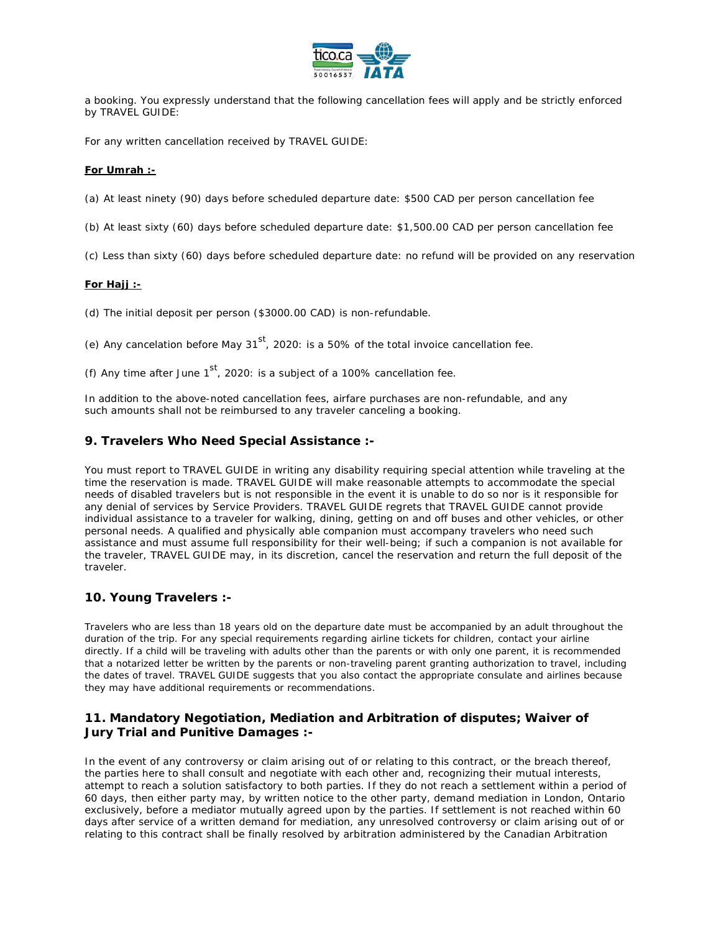

a booking. You expressly understand that the following cancellation fees will apply and be strictly enforced by TRAVEL GUIDE:

For any written cancellation received by TRAVEL GUIDE:

#### **For Umrah :-**

(a) At least ninety (90) days before scheduled departure date: \$500 CAD per person cancellation fee

(b) At least sixty (60) days before scheduled departure date: \$1,500.00 CAD per person cancellation fee

(c) Less than sixty (60) days before scheduled departure date: no refund will be provided on any reservation

### **For Hajj :-**

(d) The initial deposit per person (\$3000.00 CAD) is non-refundable.

(e) Any cancelation before May  $31<sup>st</sup>$ , 2020: is a 50% of the total invoice cancellation fee.

(f) Any time after June  $1^{st}$ , 2020: is a subject of a 100% cancellation fee.

In addition to the above-noted cancellation fees, airfare purchases are non-refundable, and any such amounts shall not be reimbursed to any traveler canceling a booking.

### **9. Travelers Who Need Special Assistance :-**

You must report to TRAVEL GUIDE in writing any disability requiring special attention while traveling at the time the reservation is made. TRAVEL GUIDE will make reasonable attempts to accommodate the special needs of disabled travelers but is not responsible in the event it is unable to do so nor is it responsible for any denial of services by Service Providers. TRAVEL GUIDE regrets that TRAVEL GUIDE cannot provide individual assistance to a traveler for walking, dining, getting on and off buses and other vehicles, or other personal needs. A qualified and physically able companion must accompany travelers who need such assistance and must assume full responsibility for their well-being; if such a companion is not available for the traveler, TRAVEL GUIDE may, in its discretion, cancel the reservation and return the full deposit of the traveler.

# **10. Young Travelers :-**

Travelers who are less than 18 years old on the departure date must be accompanied by an adult throughout the duration of the trip. For any special requirements regarding airline tickets for children, contact your airline directly. If a child will be traveling with adults other than the parents or with only one parent, it is recommended that a notarized letter be written by the parents or non-traveling parent granting authorization to travel, including the dates of travel. TRAVEL GUIDE suggests that you also contact the appropriate consulate and airlines because they may have additional requirements or recommendations.

# **11. Mandatory Negotiation, Mediation and Arbitration of disputes; Waiver of Jury Trial and Punitive Damages :-**

In the event of any controversy or claim arising out of or relating to this contract, or the breach thereof, the parties here to shall consult and negotiate with each other and, recognizing their mutual interests, attempt to reach a solution satisfactory to both parties. If they do not reach a settlement within a period of 60 days, then either party may, by written notice to the other party, demand mediation in London, Ontario exclusively, before a mediator mutually agreed upon by the parties. If settlement is not reached within 60 days after service of a written demand for mediation, any unresolved controversy or claim arising out of or relating to this contract shall be finally resolved by arbitration administered by the Canadian Arbitration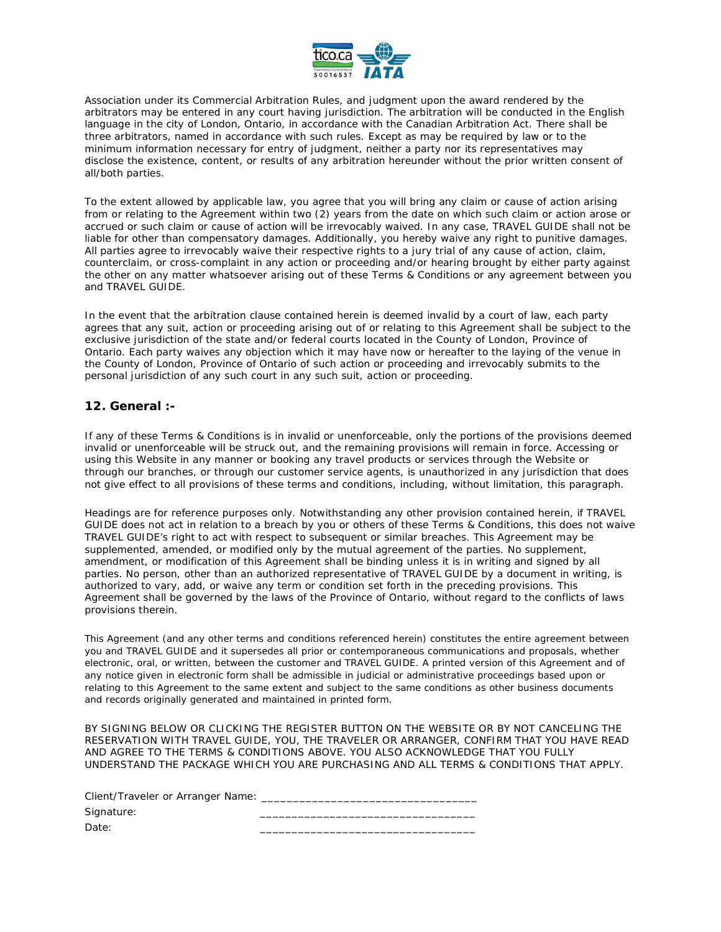

Association under its Commercial Arbitration Rules, and judgment upon the award rendered by the arbitrators may be entered in any court having jurisdiction. The arbitration will be conducted in the English language in the city of London, Ontario, in accordance with the Canadian Arbitration Act. There shall be three arbitrators, named in accordance with such rules. Except as may be required by law or to the minimum information necessary for entry of judgment, neither a party nor its representatives may disclose the existence, content, or results of any arbitration hereunder without the prior written consent of all/both parties.

To the extent allowed by applicable law, you agree that you will bring any claim or cause of action arising from or relating to the Agreement within two (2) years from the date on which such claim or action arose or accrued or such claim or cause of action will be irrevocably waived. In any case, TRAVEL GUIDE shall not be liable for other than compensatory damages. Additionally, you hereby waive any right to punitive damages. All parties agree to irrevocably waive their respective rights to a jury trial of any cause of action, claim, counterclaim, or cross-complaint in any action or proceeding and/or hearing brought by either party against the other on any matter whatsoever arising out of these Terms & Conditions or any agreement between you and TRAVEL GUIDE.

In the event that the arbitration clause contained herein is deemed invalid by a court of law, each party agrees that any suit, action or proceeding arising out of or relating to this Agreement shall be subject to the exclusive jurisdiction of the state and/or federal courts located in the County of London, Province of Ontario. Each party waives any objection which it may have now or hereafter to the laying of the venue in the County of London, Province of Ontario of such action or proceeding and irrevocably submits to the personal jurisdiction of any such court in any such suit, action or proceeding.

# **12. General :-**

If any of these Terms & Conditions is in invalid or unenforceable, only the portions of the provisions deemed invalid or unenforceable will be struck out, and the remaining provisions will remain in force. Accessing or using this Website in any manner or booking any travel products or services through the Website or through our branches, or through our customer service agents, is unauthorized in any jurisdiction that does not give effect to all provisions of these terms and conditions, including, without limitation, this paragraph.

Headings are for reference purposes only. Notwithstanding any other provision contained herein, if TRAVEL GUIDE does not act in relation to a breach by you or others of these Terms & Conditions, this does not waive TRAVEL GUIDE's right to act with respect to subsequent or similar breaches. This Agreement may be supplemented, amended, or modified only by the mutual agreement of the parties. No supplement, amendment, or modification of this Agreement shall be binding unless it is in writing and signed by all parties. No person, other than an authorized representative of TRAVEL GUIDE by a document in writing, is authorized to vary, add, or waive any term or condition set forth in the preceding provisions. This Agreement shall be governed by the laws of the Province of Ontario, without regard to the conflicts of laws provisions therein.

This Agreement (and any other terms and conditions referenced herein) constitutes the entire agreement between you and TRAVEL GUIDE and it supersedes all prior or contemporaneous communications and proposals, whether electronic, oral, or written, between the customer and TRAVEL GUIDE. A printed version of this Agreement and of any notice given in electronic form shall be admissible in judicial or administrative proceedings based upon or relating to this Agreement to the same extent and subject to the same conditions as other business documents and records originally generated and maintained in printed form.

BY SIGNING BELOW OR CLICKING THE REGISTER BUTTON ON THE WEBSITE OR BY NOT CANCELING THE RESERVATION WITH TRAVEL GUIDE, YOU, THE TRAVELER OR ARRANGER, CONFIRM THAT YOU HAVE READ AND AGREE TO THE TERMS & CONDITIONS ABOVE. YOU ALSO ACKNOWLEDGE THAT YOU FULLY UNDERSTAND THE PACKAGE WHICH YOU ARE PURCHASING AND ALL TERMS & CONDITIONS THAT APPLY.

| Client/Traveler or Arranger Name: |  |
|-----------------------------------|--|
| Signature:                        |  |
| Date:                             |  |